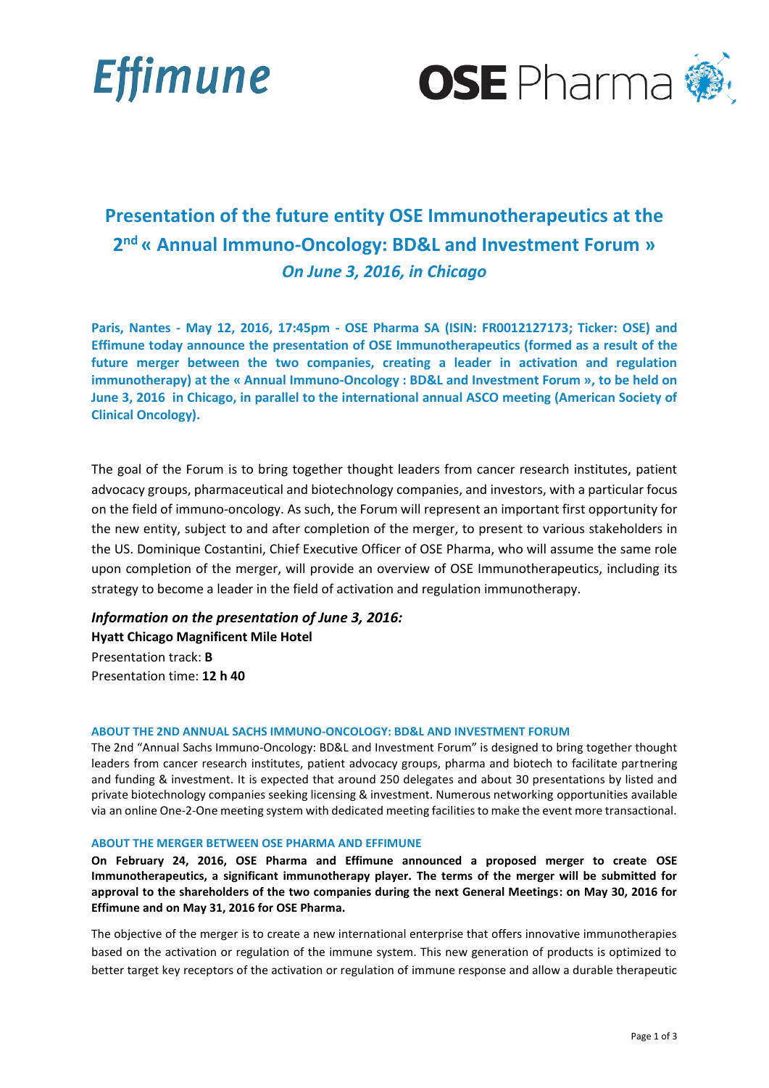



# **Presentation of the future entity OSE Immunotherapeutics at the 2 nd « Annual Immuno-Oncology: BD&L and Investment Forum »** *On June 3, 2016, in Chicago*

**Paris, Nantes - May 12, 2016, 17:45pm - OSE Pharma SA (ISIN: FR0012127173; Ticker: OSE) and Effimune today announce the presentation of OSE Immunotherapeutics (formed as a result of the future merger between the two companies, creating a leader in activation and regulation immunotherapy) at the « Annual Immuno-Oncology : BD&L and Investment Forum », to be held on June 3, 2016 in Chicago, in parallel to the international annual ASCO meeting (American Society of Clinical Oncology).**

The goal of the Forum is to bring together thought leaders from cancer research institutes, patient advocacy groups, pharmaceutical and biotechnology companies, and investors, with a particular focus on the field of immuno-oncology. As such, the Forum will represent an important first opportunity for the new entity, subject to and after completion of the merger, to present to various stakeholders in the US. Dominique Costantini, Chief Executive Officer of OSE Pharma, who will assume the same role upon completion of the merger, will provide an overview of OSE Immunotherapeutics, including its strategy to become a leader in the field of activation and regulation immunotherapy.

## *Information on the presentation of June 3, 2016:*

**Hyatt Chicago Magnificent Mile Hotel** Presentation track: **B** Presentation time: **12 h 40**

### **ABOUT THE 2ND ANNUAL SACHS IMMUNO-ONCOLOGY: BD&L AND INVESTMENT FORUM**

The 2nd "Annual Sachs Immuno-Oncology: BD&L and Investment Forum" is designed to bring together thought leaders from cancer research institutes, patient advocacy groups, pharma and biotech to facilitate partnering and funding & investment. It is expected that around 250 delegates and about 30 presentations by listed and private biotechnology companies seeking licensing & investment. Numerous networking opportunities available via an online One-2-One meeting system with dedicated meeting facilities to make the event more transactional.

### **ABOUT THE MERGER BETWEEN OSE PHARMA AND EFFIMUNE**

**On February 24, 2016, OSE Pharma and Effimune announced a proposed merger to create OSE Immunotherapeutics, a significant immunotherapy player. The terms of the merger will be submitted for approval to the shareholders of the two companies during the next General Meetings: on May 30, 2016 for Effimune and on May 31, 2016 for OSE Pharma.**

The objective of the merger is to create a new international enterprise that offers innovative immunotherapies based on the activation or regulation of the immune system. This new generation of products is optimized to better target key receptors of the activation or regulation of immune response and allow a durable therapeutic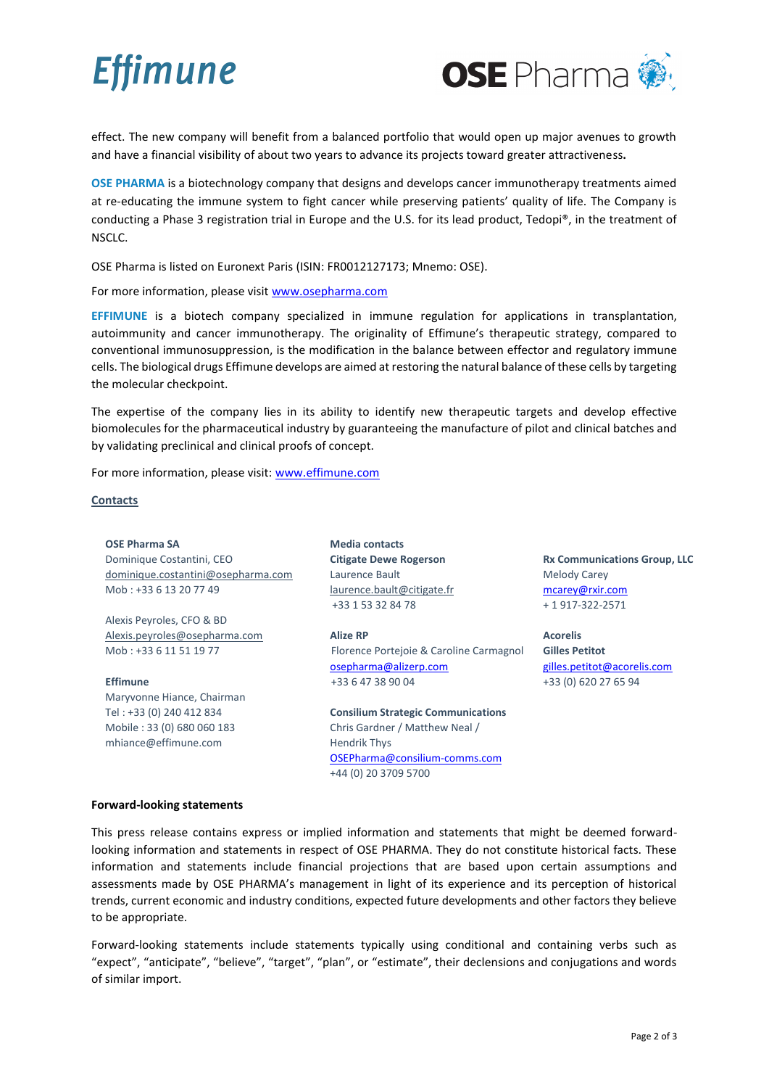**Effimune** 



effect. The new company will benefit from a balanced portfolio that would open up major avenues to growth and have a financial visibility of about two years to advance its projects toward greater attractiveness**.**

**OSE PHARMA** is a biotechnology company that designs and develops cancer immunotherapy treatments aimed at re-educating the immune system to fight cancer while preserving patients' quality of life. The Company is conducting a Phase 3 registration trial in Europe and the U.S. for its lead product, Tedopi®, in the treatment of NSCLC.

OSE Pharma is listed on Euronext Paris (ISIN: FR0012127173; Mnemo: OSE).

For more information, please visit [www.osepharma.com](http://www.osepharma.com/)

**EFFIMUNE** is a biotech company specialized in immune regulation for applications in transplantation, autoimmunity and cancer immunotherapy. The originality of Effimune's therapeutic strategy, compared to conventional immunosuppression, is the modification in the balance between effector and regulatory immune cells. The biological drugs Effimune develops are aimed at restoring the natural balance of these cells by targeting the molecular checkpoint.

The expertise of the company lies in its ability to identify new therapeutic targets and develop effective biomolecules for the pharmaceutical industry by guaranteeing the manufacture of pilot and clinical batches and by validating preclinical and clinical proofs of concept.

For more information, please visit: [www.effimune.com](http://www.effimune.com/)

### **Contacts**

**OSE Pharma SA** Dominique Costantini, CEO [dominique.costantini@osepharma.com](mailto:dominique.costantini@osepharma.com) Mob : +33 6 13 20 77 49 Alexis Peyroles, CFO & BD [Alexis.peyroles@osepharma.com](mailto:Alexis.peyroles@osepharma.com) **Media contacts Citigate Dewe Rogerson**  Laurence Bault [laurence.bault@citigate.fr](mailto:laurence.bault@citigate.fr) +33 1 53 32 84 78 **Alize RP**

Florence Portejoie & Caroline Carmagnol [osepharma@alizerp.com](mailto:osepharma@alizerp.com) +33 6 47 38 90 04

**Consilium Strategic Communications** Chris Gardner / Matthew Neal / Hendrik Thys [OSEPharma@consilium-comms.com](mailto:OSEPharma@consilium-comms.com) +44 (0) 20 3709 5700

**Rx Communications Group, LLC** Melody Carey [mcarey@rxir.com](mailto:mcarey@rxir.com) + 1 917-322-2571

**Acorelis Gilles Petitot** [gilles.petitot@acorelis.com](mailto:gilles.petitot@acorelis.com) +33 (0) 620 27 65 94

### **Forward-looking statements**

Mob : +33 6 11 51 19 77

Maryvonne Hiance, Chairman Tel : +33 (0) 240 412 834 Mobile : 33 (0) 680 060 183 mhiance@effimune.com

**Effimune** 

This press release contains express or implied information and statements that might be deemed forwardlooking information and statements in respect of OSE PHARMA. They do not constitute historical facts. These information and statements include financial projections that are based upon certain assumptions and assessments made by OSE PHARMA's management in light of its experience and its perception of historical trends, current economic and industry conditions, expected future developments and other factors they believe to be appropriate.

Forward-looking statements include statements typically using conditional and containing verbs such as "expect", "anticipate", "believe", "target", "plan", or "estimate", their declensions and conjugations and words of similar import.